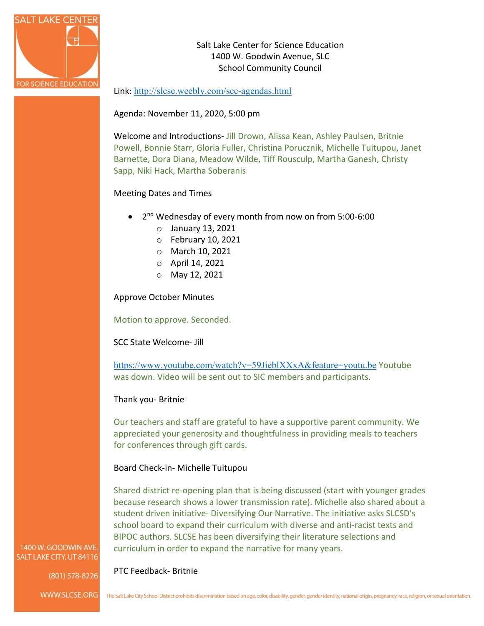

Salt Lake Center for Science Education 1400 W. Goodwin Avenue, SLC School Community Council

### Link: <http://slcse.weebly.com/scc-agendas.html>

Agenda: November 11, 2020, 5:00 pm

Welcome and Introductions- Jill Drown, Alissa Kean, Ashley Paulsen, Britnie Powell, Bonnie Starr, Gloria Fuller, Christina Porucznik, Michelle Tuitupou, Janet Barnette, Dora Diana, Meadow Wilde, Tiff Rousculp, Martha Ganesh, Christy Sapp, Niki Hack, Martha Soberanis

### Meeting Dates and Times

- 2nd Wednesday of every month from now on from 5:00-6:00
	- o January 13, 2021
	- o February 10, 2021
	- o March 10, 2021
	- o April 14, 2021
	- o May 12, 2021

Approve October Minutes

Motion to approve. Seconded.

SCC State Welcome- Jill

<https://www.youtube.com/watch?v=59JieblXXxA&feature=youtu.be> Youtube was down. Video will be sent out to SIC members and participants.

#### Thank you- Britnie

PTC Feedback- Britnie

Our teachers and staff are grateful to have a supportive parent community. We appreciated your generosity and thoughtfulness in providing meals to teachers for conferences through gift cards.

#### Board Check-in- Michelle Tuitupou

Shared district re-opening plan that is being discussed (start with younger grades because research shows a lower transmission rate). Michelle also shared about a student driven initiative- Diversifying Our Narrative. The initiative asks SLCSD's school board to expand their curriculum with diverse and anti-racist texts and BIPOC authors. SLCSE has been diversifying their literature selections and curriculum in order to expand the narrative for many years.

#### 1400 W. GOODWIN AVE. SALT LAKE CITY, UT 84116

(801) 578-8226

WWW.SLCSE.ORG The Salt Lake City School District prohibits discrimination based on age, color, disability, gender, gender identity, national origin, pregnancy, race, religion, or sexual orientation.